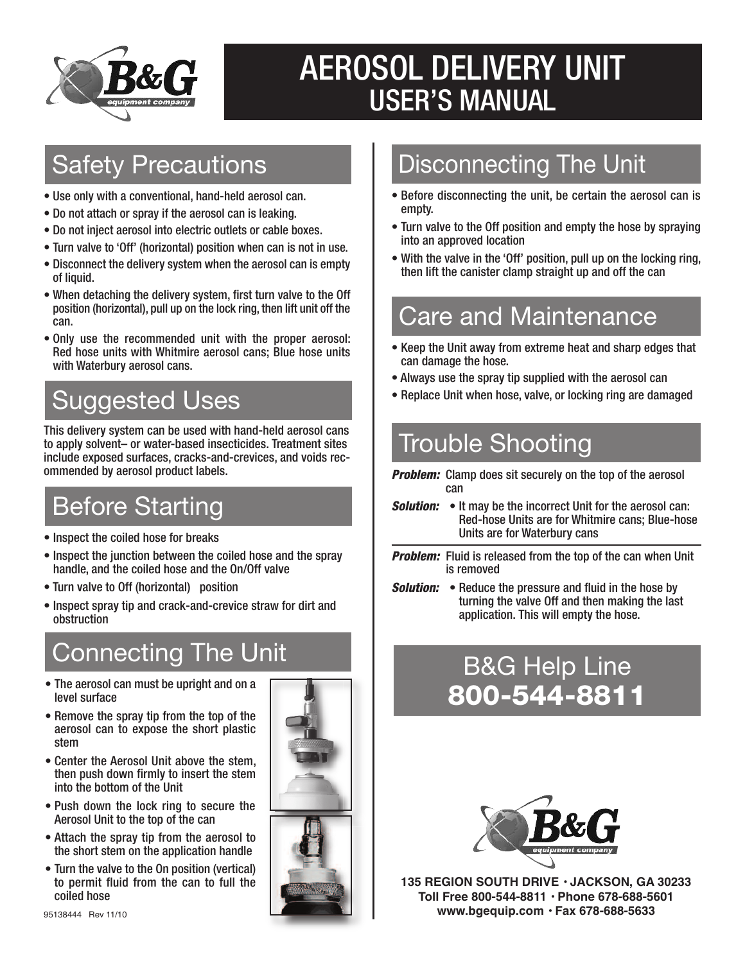

# AEROSOL DELIVERY UNIT USER'S MANUAL

#### Safety Precautions

- Use only with a conventional, hand-held aerosol can.
- Do not attach or spray if the aerosol can is leaking.
- Do not inject aerosol into electric outlets or cable boxes.
- Turn valve to 'Off' (horizontal) position when can is not in use.
- Disconnect the delivery system when the aerosol can is empty of liquid.
- When detaching the delivery system, first turn valve to the Off position (horizontal), pull up on the lock ring, then lift unit off the can.
- Only use the recommended unit with the proper aerosol: Red hose units with Whitmire aerosol cans; Blue hose units with Waterbury aerosol cans.

## Suggested Uses

This delivery system can be used with hand-held aerosol cans to apply solvent– or water-based insecticides. Treatment sites include exposed surfaces, cracks-and-crevices, and voids recommended by aerosol product labels.

### Before Starting

- Inspect the coiled hose for breaks
- Inspect the junction between the coiled hose and the spray handle, and the coiled hose and the On/Off valve
- Turn valve to Off (horizontal) position
- Inspect spray tip and crack-and-crevice straw for dirt and obstruction

## Connecting The Unit

- The aerosol can must be upright and on a level surface
- Remove the spray tip from the top of the aerosol can to expose the short plastic stem
- Center the Aerosol Unit above the stem, then push down firmly to insert the stem into the bottom of the Unit
- Push down the lock ring to secure the Aerosol Unit to the top of the can
- Attach the spray tip from the aerosol to the short stem on the application handle
- Turn the valve to the On position (vertical) to permit fluid from the can to full the coiled hose

#### Disconnecting The Unit

- Before disconnecting the unit, be certain the aerosol can is empty.
- Turn valve to the Off position and empty the hose by spraying into an approved location
- With the valve in the 'Off' position, pull up on the locking ring, then lift the canister clamp straight up and off the can

### Care and Maintenance

- Keep the Unit away from extreme heat and sharp edges that can damage the hose.
- Always use the spray tip supplied with the aerosol can
- Replace Unit when hose, valve, or locking ring are damaged

### Trouble Shooting

- *Problem:* Clamp does sit securely on the top of the aerosol can
- *Solution:* It may be the incorrect Unit for the aerosol can: Red-hose Units are for Whitmire cans; Blue-hose Units are for Waterbury cans
- *Problem:* Fluid is released from the top of the can when Unit is removed
- *Solution:* Reduce the pressure and fluid in the hose by turning the valve Off and then making the last application. This will empty the hose.

### B&G Help Line **800-544-8811**



**135 REGION SOUTH DRIVE • JACKSON, GA 30233 Toll Free 800-544-8811 • Phone 678-688-5601** <sup>95138444</sup> Rev 11/10 **www.bgequip.com • Fax 678-688-5633**